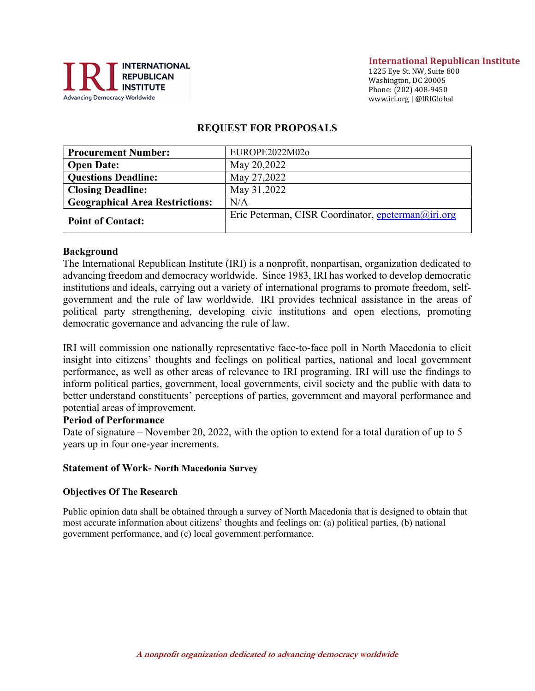

#### International Republican Institute

1225 Eye St. NW, Suite 800 Washington, DC 20005 Phone: (202) 408-9450 www.iri.org | @IRIGlobal

#### REQUEST FOR PROPOSALS

| <b>Procurement Number:</b>             | EUROPE2022M02o                                     |
|----------------------------------------|----------------------------------------------------|
| <b>Open Date:</b>                      | May 20,2022                                        |
| <b>Questions Deadline:</b>             | May 27,2022                                        |
| <b>Closing Deadline:</b>               | May 31,2022                                        |
| <b>Geographical Area Restrictions:</b> | N/A                                                |
| <b>Point of Contact:</b>               | Eric Peterman, CISR Coordinator, epeterman@iri.org |

#### Background

The International Republican Institute (IRI) is a nonprofit, nonpartisan, organization dedicated to advancing freedom and democracy worldwide. Since 1983, IRI has worked to develop democratic institutions and ideals, carrying out a variety of international programs to promote freedom, selfgovernment and the rule of law worldwide. IRI provides technical assistance in the areas of political party strengthening, developing civic institutions and open elections, promoting democratic governance and advancing the rule of law.

IRI will commission one nationally representative face-to-face poll in North Macedonia to elicit insight into citizens' thoughts and feelings on political parties, national and local government performance, as well as other areas of relevance to IRI programing. IRI will use the findings to inform political parties, government, local governments, civil society and the public with data to better understand constituents' perceptions of parties, government and mayoral performance and potential areas of improvement.

#### Period of Performance

Date of signature – November 20, 2022, with the option to extend for a total duration of up to 5 years up in four one-year increments.

#### Statement of Work- North Macedonia Survey

#### Objectives Of The Research

Public opinion data shall be obtained through a survey of North Macedonia that is designed to obtain that most accurate information about citizens' thoughts and feelings on: (a) political parties, (b) national government performance, and (c) local government performance.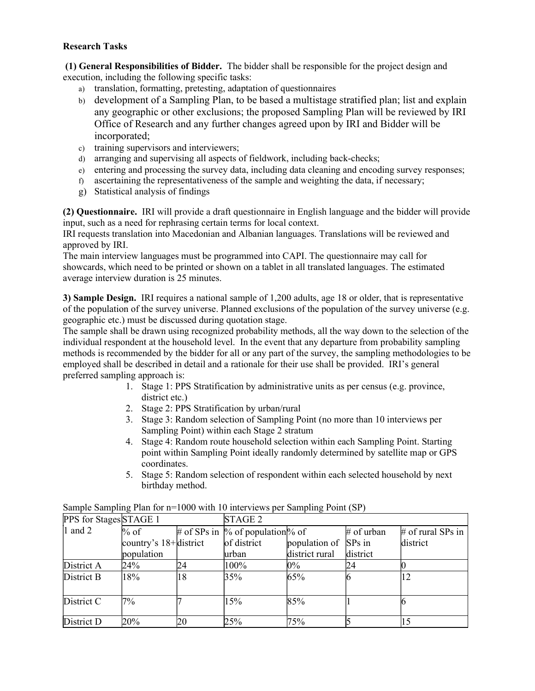### Research Tasks

 (1) General Responsibilities of Bidder. The bidder shall be responsible for the project design and execution, including the following specific tasks:

- a) translation, formatting, pretesting, adaptation of questionnaires
- b) development of a Sampling Plan, to be based a multistage stratified plan; list and explain any geographic or other exclusions; the proposed Sampling Plan will be reviewed by IRI Office of Research and any further changes agreed upon by IRI and Bidder will be incorporated;
- c) training supervisors and interviewers;
- d) arranging and supervising all aspects of fieldwork, including back-checks;
- e) entering and processing the survey data, including data cleaning and encoding survey responses;
- f) ascertaining the representativeness of the sample and weighting the data, if necessary;
- g) Statistical analysis of findings

(2) Questionnaire. IRI will provide a draft questionnaire in English language and the bidder will provide input, such as a need for rephrasing certain terms for local context.

IRI requests translation into Macedonian and Albanian languages. Translations will be reviewed and approved by IRI.

The main interview languages must be programmed into CAPI. The questionnaire may call for showcards, which need to be printed or shown on a tablet in all translated languages. The estimated average interview duration is 25 minutes.

3) Sample Design. IRI requires a national sample of 1,200 adults, age 18 or older, that is representative of the population of the survey universe. Planned exclusions of the population of the survey universe (e.g. geographic etc.) must be discussed during quotation stage.

The sample shall be drawn using recognized probability methods, all the way down to the selection of the individual respondent at the household level. In the event that any departure from probability sampling methods is recommended by the bidder for all or any part of the survey, the sampling methodologies to be employed shall be described in detail and a rationale for their use shall be provided. IRI's general preferred sampling approach is:

- 1. Stage 1: PPS Stratification by administrative units as per census (e.g. province, district etc.)
- 2. Stage 2: PPS Stratification by urban/rural
- 3. Stage 3: Random selection of Sampling Point (no more than 10 interviews per Sampling Point) within each Stage 2 stratum
- 4. Stage 4: Random route household selection within each Sampling Point. Starting point within Sampling Point ideally randomly determined by satellite map or GPS coordinates.
- 5. Stage 5: Random selection of respondent within each selected household by next birthday method.

| PPS for Stages STAGE 1 |                           |    | STAGE <sub>2</sub>                  |                      |              |                     |
|------------------------|---------------------------|----|-------------------------------------|----------------------|--------------|---------------------|
| 1 and 2                | $%$ of                    |    | # of SPs in $\%$ of population % of |                      | $#$ of urban | $#$ of rural SPs in |
|                        | country's $18 +$ district |    | of district                         | population of SPs in |              | district            |
|                        | population                |    | lurban                              | district rural       | district     |                     |
| District A             | 24%                       | 24 | 100%                                | $0\%$                | 24           |                     |
| District B             | 18%                       | 18 | 35%                                 | 65%                  |              |                     |
|                        |                           |    |                                     |                      |              |                     |
| District C             | 7%                        |    | 15%                                 | 85%                  |              |                     |
|                        |                           |    |                                     |                      |              |                     |
| District D             | 20%                       | 20 | 25%                                 | 75%                  |              |                     |

Sample Sampling Plan for n=1000 with 10 interviews per Sampling Point (SP)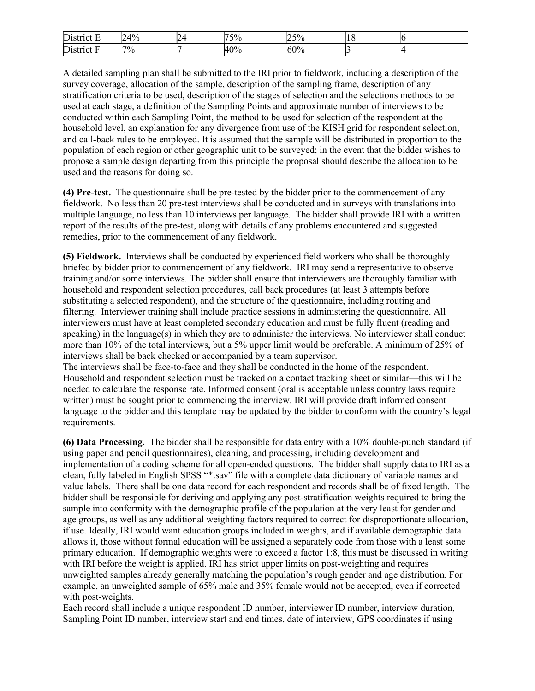| District E | $14\%$<br>$\mathbf{L}$ | . .<br>∽ | 500<br>$\%$ | 50/<br>′0<br>. ب |  |
|------------|------------------------|----------|-------------|------------------|--|
| District I | $7\%$                  |          | 40%         | 60%              |  |

A detailed sampling plan shall be submitted to the IRI prior to fieldwork, including a description of the survey coverage, allocation of the sample, description of the sampling frame, description of any stratification criteria to be used, description of the stages of selection and the selections methods to be used at each stage, a definition of the Sampling Points and approximate number of interviews to be conducted within each Sampling Point, the method to be used for selection of the respondent at the household level, an explanation for any divergence from use of the KISH grid for respondent selection, and call-back rules to be employed. It is assumed that the sample will be distributed in proportion to the population of each region or other geographic unit to be surveyed; in the event that the bidder wishes to propose a sample design departing from this principle the proposal should describe the allocation to be used and the reasons for doing so.

(4) Pre-test. The questionnaire shall be pre-tested by the bidder prior to the commencement of any fieldwork. No less than 20 pre-test interviews shall be conducted and in surveys with translations into multiple language, no less than 10 interviews per language. The bidder shall provide IRI with a written report of the results of the pre-test, along with details of any problems encountered and suggested remedies, prior to the commencement of any fieldwork.

(5) Fieldwork. Interviews shall be conducted by experienced field workers who shall be thoroughly briefed by bidder prior to commencement of any fieldwork. IRI may send a representative to observe training and/or some interviews. The bidder shall ensure that interviewers are thoroughly familiar with household and respondent selection procedures, call back procedures (at least 3 attempts before substituting a selected respondent), and the structure of the questionnaire, including routing and filtering. Interviewer training shall include practice sessions in administering the questionnaire. All interviewers must have at least completed secondary education and must be fully fluent (reading and speaking) in the language $(s)$  in which they are to administer the interviews. No interviewer shall conduct more than 10% of the total interviews, but a 5% upper limit would be preferable. A minimum of 25% of interviews shall be back checked or accompanied by a team supervisor.

The interviews shall be face-to-face and they shall be conducted in the home of the respondent. Household and respondent selection must be tracked on a contact tracking sheet or similar—this will be needed to calculate the response rate. Informed consent (oral is acceptable unless country laws require written) must be sought prior to commencing the interview. IRI will provide draft informed consent language to the bidder and this template may be updated by the bidder to conform with the country's legal requirements.

(6) Data Processing. The bidder shall be responsible for data entry with a 10% double-punch standard (if using paper and pencil questionnaires), cleaning, and processing, including development and implementation of a coding scheme for all open-ended questions. The bidder shall supply data to IRI as a clean, fully labeled in English SPSS "\*.sav" file with a complete data dictionary of variable names and value labels. There shall be one data record for each respondent and records shall be of fixed length. The bidder shall be responsible for deriving and applying any post-stratification weights required to bring the sample into conformity with the demographic profile of the population at the very least for gender and age groups, as well as any additional weighting factors required to correct for disproportionate allocation, if use. Ideally, IRI would want education groups included in weights, and if available demographic data allows it, those without formal education will be assigned a separately code from those with a least some primary education. If demographic weights were to exceed a factor 1:8, this must be discussed in writing with IRI before the weight is applied. IRI has strict upper limits on post-weighting and requires unweighted samples already generally matching the population's rough gender and age distribution. For example, an unweighted sample of 65% male and 35% female would not be accepted, even if corrected with post-weights.

Each record shall include a unique respondent ID number, interviewer ID number, interview duration, Sampling Point ID number, interview start and end times, date of interview, GPS coordinates if using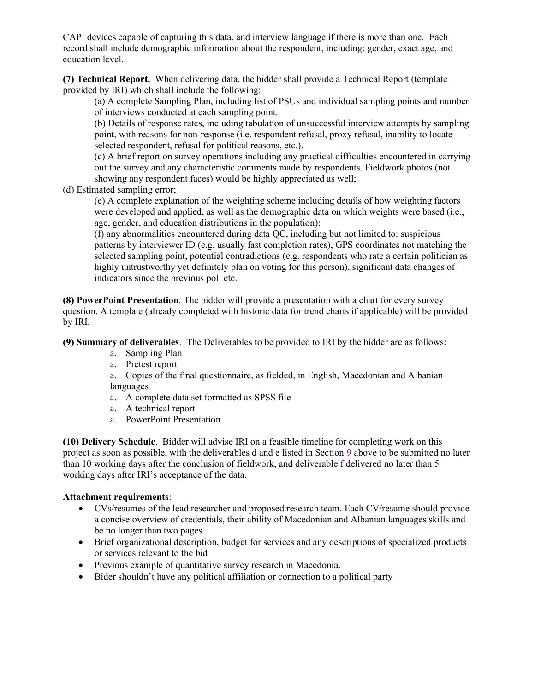CAPI devices capable of capturing this data, and interview language if there is more than one. Each record shall include demographic information about the respondent, including: gender, exact age, and education level.

(7) Technical Report. When delivering data, the bidder shall provide a Technical Report (template provided by IRI) which shall include the following:

(a) A complete Sampling Plan, including list of PSUs and individual sampling points and number of interviews conducted at each sampling point.

(b) Details of response rates, including tabulation of unsuccessful interview attempts by sampling point, with reasons for non-response (i.e. respondent refusal, proxy refusal, inability to locate selected respondent, refusal for political reasons, etc.).

(c) A brief report on survey operations including any practical difficulties encountered in carrying out the survey and any characteristic comments made by respondents. Fieldwork photos (not showing any respondent faces) would be highly appreciated as well;

(d) Estimated sampling error;

(e) A complete explanation of the weighting scheme including details of how weighting factors were developed and applied, as well as the demographic data on which weights were based (i.e., age, gender, and education distributions in the population);

(f) any abnormalities encountered during data QC, including but not limited to: suspicious patterns by interviewer ID (e.g. usually fast completion rates), GPS coordinates not matching the selected sampling point, potential contradictions (e.g. respondents who rate a certain politician as highly untrustworthy yet definitely plan on voting for this person), significant data changes of indicators since the previous poll etc.

(8) PowerPoint Presentation. The bidder will provide a presentation with a chart for every survey question. A template (already completed with historic data for trend charts if applicable) will be provided by IRI.

(9) Summary of deliverables. The Deliverables to be provided to IRI by the bidder are as follows:

- a. Sampling Plan
- a. Pretest report

a. Copies of the final questionnaire, as fielded, in English, Macedonian and Albanian languages

- a. A complete data set formatted as SPSS file
- a. A technical report
- a. PowerPoint Presentation

(10) Delivery Schedule. Bidder will advise IRI on a feasible timeline for completing work on this project as soon as possible, with the deliverables d and e listed in Section 9 above to be submitted no later than 10 working days after the conclusion of fieldwork, and deliverable f delivered no later than 5 working days after IRI's acceptance of the data.

#### Attachment requirements:

- CVs/resumes of the lead researcher and proposed research team. Each CV/resume should provide a concise overview of credentials, their ability of Macedonian and Albanian languages skills and be no longer than two pages.
- Brief organizational description, budget for services and any descriptions of specialized products or services relevant to the bid
- Previous example of quantitative survey research in Macedonia.
- Bider shouldn't have any political affiliation or connection to a political party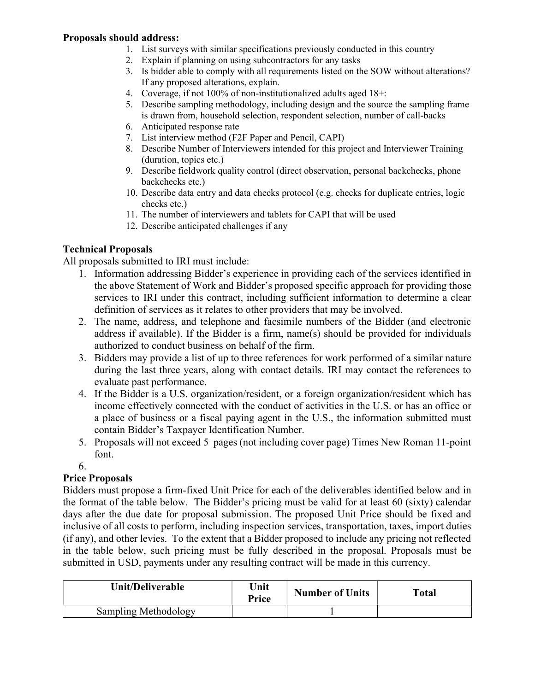## Proposals should address:

- 1. List surveys with similar specifications previously conducted in this country
- 2. Explain if planning on using subcontractors for any tasks
- 3. Is bidder able to comply with all requirements listed on the SOW without alterations? If any proposed alterations, explain.
- 4. Coverage, if not 100% of non-institutionalized adults aged 18+:
- 5. Describe sampling methodology, including design and the source the sampling frame is drawn from, household selection, respondent selection, number of call-backs
- 6. Anticipated response rate
- 7. List interview method (F2F Paper and Pencil, CAPI)
- 8. Describe Number of Interviewers intended for this project and Interviewer Training (duration, topics etc.)
- 9. Describe fieldwork quality control (direct observation, personal backchecks, phone backchecks etc.)
- 10. Describe data entry and data checks protocol (e.g. checks for duplicate entries, logic checks etc.)
- 11. The number of interviewers and tablets for CAPI that will be used
- 12. Describe anticipated challenges if any

### Technical Proposals

All proposals submitted to IRI must include:

- 1. Information addressing Bidder's experience in providing each of the services identified in the above Statement of Work and Bidder's proposed specific approach for providing those services to IRI under this contract, including sufficient information to determine a clear definition of services as it relates to other providers that may be involved.
- 2. The name, address, and telephone and facsimile numbers of the Bidder (and electronic address if available). If the Bidder is a firm, name(s) should be provided for individuals authorized to conduct business on behalf of the firm.
- 3. Bidders may provide a list of up to three references for work performed of a similar nature during the last three years, along with contact details. IRI may contact the references to evaluate past performance.
- 4. If the Bidder is a U.S. organization/resident, or a foreign organization/resident which has income effectively connected with the conduct of activities in the U.S. or has an office or a place of business or a fiscal paying agent in the U.S., the information submitted must contain Bidder's Taxpayer Identification Number.
- 5. Proposals will not exceed 5 pages (not including cover page) Times New Roman 11-point font.
- 6.

# Price Proposals

Bidders must propose a firm-fixed Unit Price for each of the deliverables identified below and in the format of the table below. The Bidder's pricing must be valid for at least 60 (sixty) calendar days after the due date for proposal submission. The proposed Unit Price should be fixed and inclusive of all costs to perform, including inspection services, transportation, taxes, import duties (if any), and other levies. To the extent that a Bidder proposed to include any pricing not reflected in the table below, such pricing must be fully described in the proposal. Proposals must be submitted in USD, payments under any resulting contract will be made in this currency.

| Unit/Deliverable     | Unit<br>Price | <b>Number of Units</b> | Total |
|----------------------|---------------|------------------------|-------|
| Sampling Methodology |               |                        |       |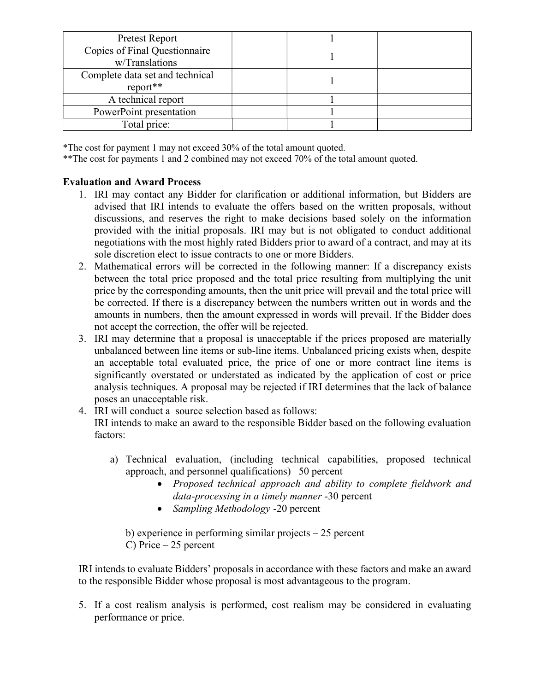| Pretest Report                  |  |  |
|---------------------------------|--|--|
| Copies of Final Questionnaire   |  |  |
| w/Translations                  |  |  |
| Complete data set and technical |  |  |
| report**                        |  |  |
| A technical report              |  |  |
| PowerPoint presentation         |  |  |
| Total price:                    |  |  |

\*The cost for payment 1 may not exceed 30% of the total amount quoted.

\*\*The cost for payments 1 and 2 combined may not exceed 70% of the total amount quoted.

# Evaluation and Award Process

- 1. IRI may contact any Bidder for clarification or additional information, but Bidders are advised that IRI intends to evaluate the offers based on the written proposals, without discussions, and reserves the right to make decisions based solely on the information provided with the initial proposals. IRI may but is not obligated to conduct additional negotiations with the most highly rated Bidders prior to award of a contract, and may at its sole discretion elect to issue contracts to one or more Bidders.
- 2. Mathematical errors will be corrected in the following manner: If a discrepancy exists between the total price proposed and the total price resulting from multiplying the unit price by the corresponding amounts, then the unit price will prevail and the total price will be corrected. If there is a discrepancy between the numbers written out in words and the amounts in numbers, then the amount expressed in words will prevail. If the Bidder does not accept the correction, the offer will be rejected.
- 3. IRI may determine that a proposal is unacceptable if the prices proposed are materially unbalanced between line items or sub-line items. Unbalanced pricing exists when, despite an acceptable total evaluated price, the price of one or more contract line items is significantly overstated or understated as indicated by the application of cost or price analysis techniques. A proposal may be rejected if IRI determines that the lack of balance poses an unacceptable risk.
- 4. IRI will conduct a source selection based as follows: IRI intends to make an award to the responsible Bidder based on the following evaluation factors:
	- a) Technical evaluation, (including technical capabilities, proposed technical approach, and personnel qualifications) –50 percent
		- Proposed technical approach and ability to complete fieldwork and data-processing in a timely manner -30 percent
		- Sampling Methodology -20 percent

b) experience in performing similar projects – 25 percent C) Price – 25 percent

IRI intends to evaluate Bidders' proposals in accordance with these factors and make an award to the responsible Bidder whose proposal is most advantageous to the program.

5. If a cost realism analysis is performed, cost realism may be considered in evaluating performance or price.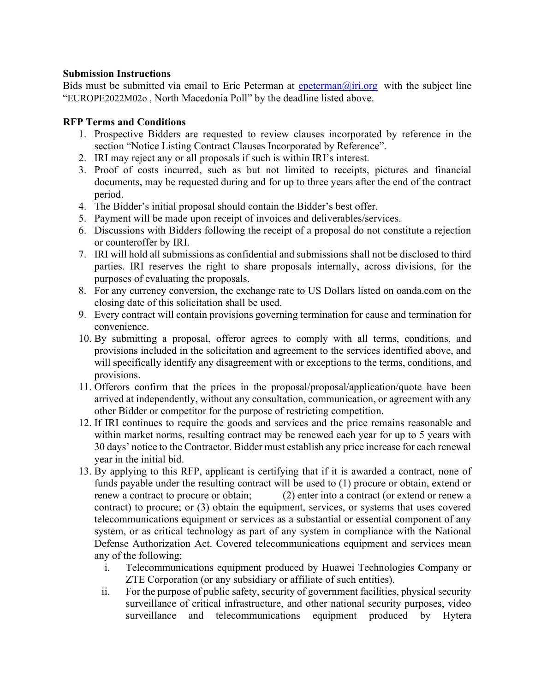### Submission Instructions

Bids must be submitted via email to Eric Peterman at  $\frac{e$ peterman $\omega$ iri.org with the subject line "EUROPE2022M02o , North Macedonia Poll" by the deadline listed above.

## RFP Terms and Conditions

- 1. Prospective Bidders are requested to review clauses incorporated by reference in the section "Notice Listing Contract Clauses Incorporated by Reference".
- 2. IRI may reject any or all proposals if such is within IRI's interest.
- 3. Proof of costs incurred, such as but not limited to receipts, pictures and financial documents, may be requested during and for up to three years after the end of the contract period.
- 4. The Bidder's initial proposal should contain the Bidder's best offer.
- 5. Payment will be made upon receipt of invoices and deliverables/services.
- 6. Discussions with Bidders following the receipt of a proposal do not constitute a rejection or counteroffer by IRI.
- 7. IRI will hold all submissions as confidential and submissions shall not be disclosed to third parties. IRI reserves the right to share proposals internally, across divisions, for the purposes of evaluating the proposals.
- 8. For any currency conversion, the exchange rate to US Dollars listed on oanda.com on the closing date of this solicitation shall be used.
- 9. Every contract will contain provisions governing termination for cause and termination for convenience.
- 10. By submitting a proposal, offeror agrees to comply with all terms, conditions, and provisions included in the solicitation and agreement to the services identified above, and will specifically identify any disagreement with or exceptions to the terms, conditions, and provisions.
- 11. Offerors confirm that the prices in the proposal/proposal/application/quote have been arrived at independently, without any consultation, communication, or agreement with any other Bidder or competitor for the purpose of restricting competition.
- 12. If IRI continues to require the goods and services and the price remains reasonable and within market norms, resulting contract may be renewed each year for up to 5 years with 30 days' notice to the Contractor. Bidder must establish any price increase for each renewal year in the initial bid.
- 13. By applying to this RFP, applicant is certifying that if it is awarded a contract, none of funds payable under the resulting contract will be used to (1) procure or obtain, extend or renew a contract to procure or obtain; (2) enter into a contract (or extend or renew a contract) to procure; or (3) obtain the equipment, services, or systems that uses covered telecommunications equipment or services as a substantial or essential component of any system, or as critical technology as part of any system in compliance with the National Defense Authorization Act. Covered telecommunications equipment and services mean any of the following:
	- i. Telecommunications equipment produced by Huawei Technologies Company or ZTE Corporation (or any subsidiary or affiliate of such entities).
	- ii. For the purpose of public safety, security of government facilities, physical security surveillance of critical infrastructure, and other national security purposes, video surveillance and telecommunications equipment produced by Hytera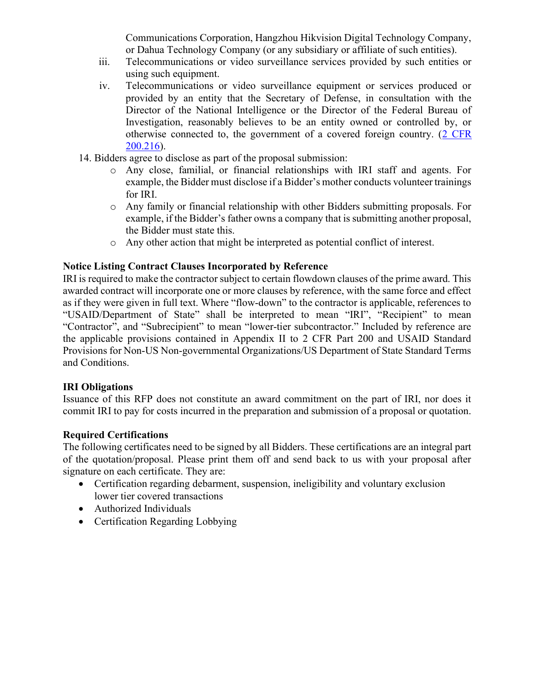Communications Corporation, Hangzhou Hikvision Digital Technology Company, or Dahua Technology Company (or any subsidiary or affiliate of such entities).

- iii. Telecommunications or video surveillance services provided by such entities or using such equipment.
- iv. Telecommunications or video surveillance equipment or services produced or provided by an entity that the Secretary of Defense, in consultation with the Director of the National Intelligence or the Director of the Federal Bureau of Investigation, reasonably believes to be an entity owned or controlled by, or otherwise connected to, the government of a covered foreign country.  $(2 \text{ CFR})$ 200.216).
- 14. Bidders agree to disclose as part of the proposal submission:
	- o Any close, familial, or financial relationships with IRI staff and agents. For example, the Bidder must disclose if a Bidder's mother conducts volunteer trainings for IRI.
	- o Any family or financial relationship with other Bidders submitting proposals. For example, if the Bidder's father owns a company that is submitting another proposal, the Bidder must state this.
	- o Any other action that might be interpreted as potential conflict of interest.

### Notice Listing Contract Clauses Incorporated by Reference

IRI is required to make the contractor subject to certain flowdown clauses of the prime award. This awarded contract will incorporate one or more clauses by reference, with the same force and effect as if they were given in full text. Where "flow-down" to the contractor is applicable, references to "USAID/Department of State" shall be interpreted to mean "IRI", "Recipient" to mean "Contractor", and "Subrecipient" to mean "lower-tier subcontractor." Included by reference are the applicable provisions contained in Appendix II to 2 CFR Part 200 and USAID Standard Provisions for Non-US Non-governmental Organizations/US Department of State Standard Terms and Conditions.

### IRI Obligations

Issuance of this RFP does not constitute an award commitment on the part of IRI, nor does it commit IRI to pay for costs incurred in the preparation and submission of a proposal or quotation.

### Required Certifications

The following certificates need to be signed by all Bidders. These certifications are an integral part of the quotation/proposal. Please print them off and send back to us with your proposal after signature on each certificate. They are:

- Certification regarding debarment, suspension, ineligibility and voluntary exclusion lower tier covered transactions
- Authorized Individuals
- Certification Regarding Lobbying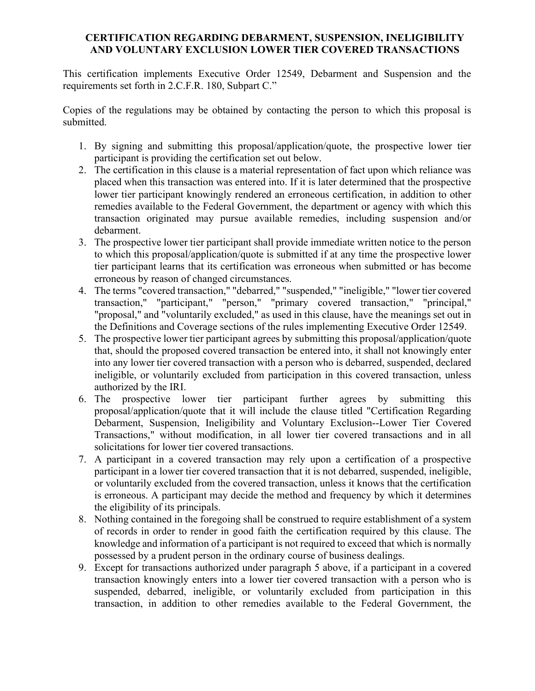## CERTIFICATION REGARDING DEBARMENT, SUSPENSION, INELIGIBILITY AND VOLUNTARY EXCLUSION LOWER TIER COVERED TRANSACTIONS

This certification implements Executive Order 12549, Debarment and Suspension and the requirements set forth in 2.C.F.R. 180, Subpart C."

Copies of the regulations may be obtained by contacting the person to which this proposal is submitted.

- 1. By signing and submitting this proposal/application/quote, the prospective lower tier participant is providing the certification set out below.
- 2. The certification in this clause is a material representation of fact upon which reliance was placed when this transaction was entered into. If it is later determined that the prospective lower tier participant knowingly rendered an erroneous certification, in addition to other remedies available to the Federal Government, the department or agency with which this transaction originated may pursue available remedies, including suspension and/or debarment.
- 3. The prospective lower tier participant shall provide immediate written notice to the person to which this proposal/application/quote is submitted if at any time the prospective lower tier participant learns that its certification was erroneous when submitted or has become erroneous by reason of changed circumstances.
- 4. The terms "covered transaction," "debarred," "suspended," "ineligible," "lower tier covered transaction," "participant," "person," "primary covered transaction," "principal," "proposal," and "voluntarily excluded," as used in this clause, have the meanings set out in the Definitions and Coverage sections of the rules implementing Executive Order 12549.
- 5. The prospective lower tier participant agrees by submitting this proposal/application/quote that, should the proposed covered transaction be entered into, it shall not knowingly enter into any lower tier covered transaction with a person who is debarred, suspended, declared ineligible, or voluntarily excluded from participation in this covered transaction, unless authorized by the IRI.
- 6. The prospective lower tier participant further agrees by submitting this proposal/application/quote that it will include the clause titled "Certification Regarding Debarment, Suspension, Ineligibility and Voluntary Exclusion--Lower Tier Covered Transactions," without modification, in all lower tier covered transactions and in all solicitations for lower tier covered transactions.
- 7. A participant in a covered transaction may rely upon a certification of a prospective participant in a lower tier covered transaction that it is not debarred, suspended, ineligible, or voluntarily excluded from the covered transaction, unless it knows that the certification is erroneous. A participant may decide the method and frequency by which it determines the eligibility of its principals.
- 8. Nothing contained in the foregoing shall be construed to require establishment of a system of records in order to render in good faith the certification required by this clause. The knowledge and information of a participant is not required to exceed that which is normally possessed by a prudent person in the ordinary course of business dealings.
- 9. Except for transactions authorized under paragraph 5 above, if a participant in a covered transaction knowingly enters into a lower tier covered transaction with a person who is suspended, debarred, ineligible, or voluntarily excluded from participation in this transaction, in addition to other remedies available to the Federal Government, the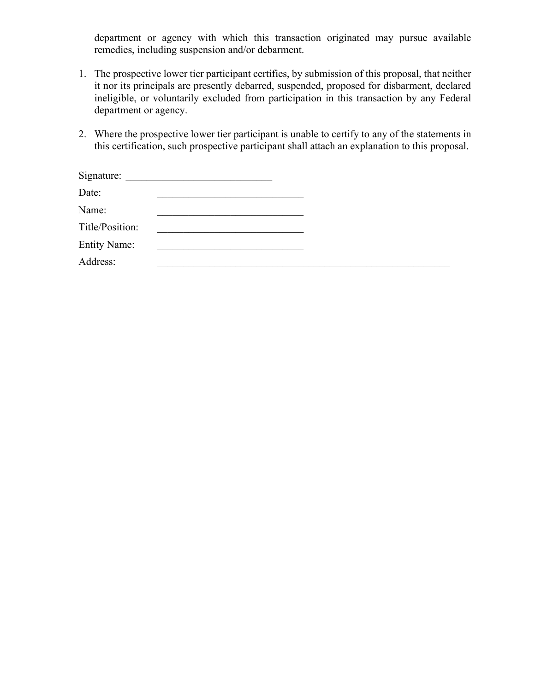department or agency with which this transaction originated may pursue available remedies, including suspension and/or debarment.

- 1. The prospective lower tier participant certifies, by submission of this proposal, that neither it nor its principals are presently debarred, suspended, proposed for disbarment, declared ineligible, or voluntarily excluded from participation in this transaction by any Federal department or agency.
- 2. Where the prospective lower tier participant is unable to certify to any of the statements in this certification, such prospective participant shall attach an explanation to this proposal.

| Signature:          |                                                                                           |  |  |
|---------------------|-------------------------------------------------------------------------------------------|--|--|
| Date:               | the control of the control of the control of the control of the control of the control of |  |  |
| Name:               |                                                                                           |  |  |
| Title/Position:     |                                                                                           |  |  |
| <b>Entity Name:</b> |                                                                                           |  |  |
| Address:            |                                                                                           |  |  |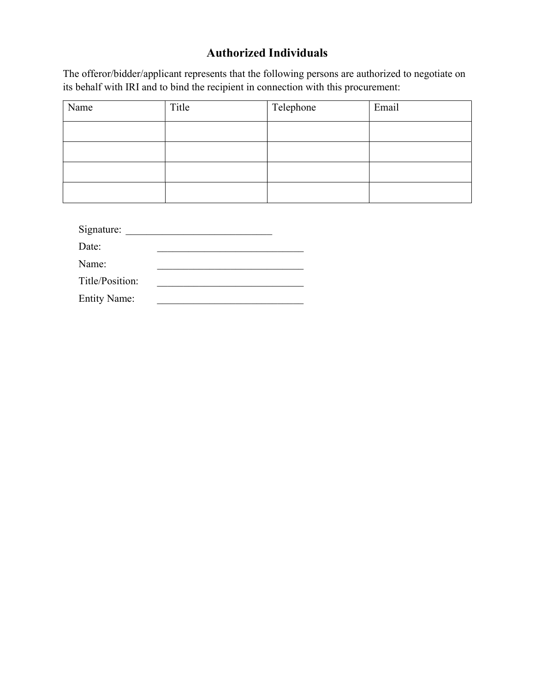# Authorized Individuals

The offeror/bidder/applicant represents that the following persons are authorized to negotiate on its behalf with IRI and to bind the recipient in connection with this procurement:

| Name | Title | Telephone | Email |
|------|-------|-----------|-------|
|      |       |           |       |
|      |       |           |       |
|      |       |           |       |
|      |       |           |       |

| Signature:      |  |
|-----------------|--|
| Date:           |  |
| Name:           |  |
| Title/Position: |  |

Entity Name: